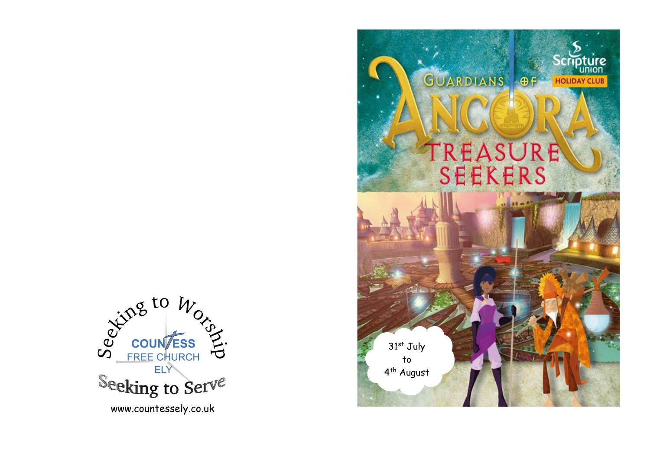